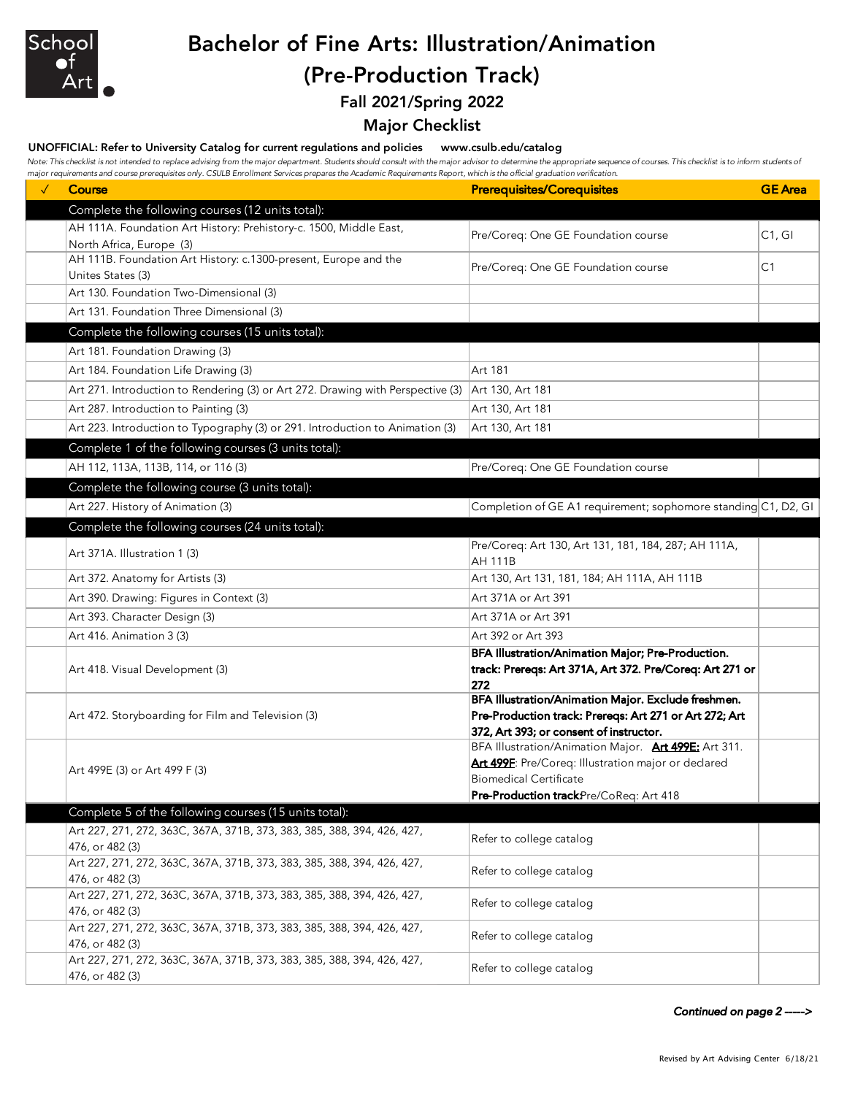

## Bachelor of Fine Arts: Illustration/Animation (Pre-Production Track)

Fall 2021/Spring 2022

## Major Checklist

## UNOFFICIAL: Refer to University Catalog for current regulations and policies www.csulb.edu/catalog

Note: This checklist is not intended to replace advising from the major department. Students should consult with the major advisor to determine the appropriate sequence of courses. This checklist is to inform students of *major requirements and course prerequisites only. CSULB Enrollment Services prepares the Academic Requirements Report, which is the official graduation verification.*

| $\checkmark$ | Course                                                                                        | <b>Prerequisites/Corequisites</b>                                                                                                                                                      | <b>GE</b> Area |
|--------------|-----------------------------------------------------------------------------------------------|----------------------------------------------------------------------------------------------------------------------------------------------------------------------------------------|----------------|
|              | Complete the following courses (12 units total):                                              |                                                                                                                                                                                        |                |
|              | AH 111A. Foundation Art History: Prehistory-c. 1500, Middle East,<br>North Africa, Europe (3) | Pre/Coreq: One GE Foundation course                                                                                                                                                    | C1, G1         |
|              | AH 111B. Foundation Art History: c.1300-present, Europe and the<br>Unites States (3)          | Pre/Coreq: One GE Foundation course                                                                                                                                                    | C <sub>1</sub> |
|              | Art 130. Foundation Two-Dimensional (3)                                                       |                                                                                                                                                                                        |                |
|              | Art 131. Foundation Three Dimensional (3)                                                     |                                                                                                                                                                                        |                |
|              | Complete the following courses (15 units total):                                              |                                                                                                                                                                                        |                |
|              | Art 181. Foundation Drawing (3)                                                               |                                                                                                                                                                                        |                |
|              | Art 184. Foundation Life Drawing (3)                                                          | Art 181                                                                                                                                                                                |                |
|              | Art 271. Introduction to Rendering (3) or Art 272. Drawing with Perspective (3)               | Art 130, Art 181                                                                                                                                                                       |                |
|              | Art 287. Introduction to Painting (3)                                                         | Art 130, Art 181                                                                                                                                                                       |                |
|              | Art 223. Introduction to Typography (3) or 291. Introduction to Animation (3)                 | Art 130, Art 181                                                                                                                                                                       |                |
|              | Complete 1 of the following courses (3 units total):                                          |                                                                                                                                                                                        |                |
|              | AH 112, 113A, 113B, 114, or 116 (3)                                                           | Pre/Coreq: One GE Foundation course                                                                                                                                                    |                |
|              | Complete the following course (3 units total):                                                |                                                                                                                                                                                        |                |
|              | Art 227. History of Animation (3)                                                             | Completion of GE A1 requirement; sophomore standing C1, D2, GI                                                                                                                         |                |
|              | Complete the following courses (24 units total):                                              |                                                                                                                                                                                        |                |
|              |                                                                                               | Pre/Coreq: Art 130, Art 131, 181, 184, 287; AH 111A,                                                                                                                                   |                |
|              | Art 371A. Illustration 1 (3)                                                                  | <b>AH 111B</b>                                                                                                                                                                         |                |
|              | Art 372. Anatomy for Artists (3)                                                              | Art 130, Art 131, 181, 184; AH 111A, AH 111B                                                                                                                                           |                |
|              | Art 390. Drawing: Figures in Context (3)                                                      | Art 371A or Art 391                                                                                                                                                                    |                |
|              | Art 393. Character Design (3)                                                                 | Art 371A or Art 391                                                                                                                                                                    |                |
|              | Art 416. Animation 3 (3)                                                                      | Art 392 or Art 393                                                                                                                                                                     |                |
|              | Art 418. Visual Development (3)                                                               | BFA Illustration/Animation Major; Pre-Production.<br>track: Prereqs: Art 371A, Art 372. Pre/Coreq: Art 271 or<br>272                                                                   |                |
|              | Art 472. Storyboarding for Film and Television (3)                                            | BFA Illustration/Animation Major. Exclude freshmen.<br>Pre-Production track: Prereqs: Art 271 or Art 272; Art<br>372, Art 393; or consent of instructor.                               |                |
|              | Art 499E (3) or Art 499 F (3)                                                                 | BFA Illustration/Animation Major. Art 499E: Art 311.<br>Art 499F: Pre/Coreq: Illustration major or declared<br><b>Biomedical Certificate</b><br>Pre-Production trackPre/CoReq: Art 418 |                |
|              | Complete 5 of the following courses (15 units total):                                         |                                                                                                                                                                                        |                |
|              | Art 227, 271, 272, 363C, 367A, 371B, 373, 383, 385, 388, 394, 426, 427,                       | Refer to college catalog                                                                                                                                                               |                |
|              | 476, or 482 (3)                                                                               |                                                                                                                                                                                        |                |
|              | Art 227, 271, 272, 363C, 367A, 371B, 373, 383, 385, 388, 394, 426, 427,<br>476, or 482 (3)    | Refer to college catalog                                                                                                                                                               |                |
|              | Art 227, 271, 272, 363C, 367A, 371B, 373, 383, 385, 388, 394, 426, 427,<br>476, or 482 (3)    | Refer to college catalog                                                                                                                                                               |                |
|              | Art 227, 271, 272, 363C, 367A, 371B, 373, 383, 385, 388, 394, 426, 427,<br>476, or 482 (3)    | Refer to college catalog                                                                                                                                                               |                |
|              | Art 227, 271, 272, 363C, 367A, 371B, 373, 383, 385, 388, 394, 426, 427,<br>476, or 482 (3)    | Refer to college catalog                                                                                                                                                               |                |

*Continued on page 2 ----->*